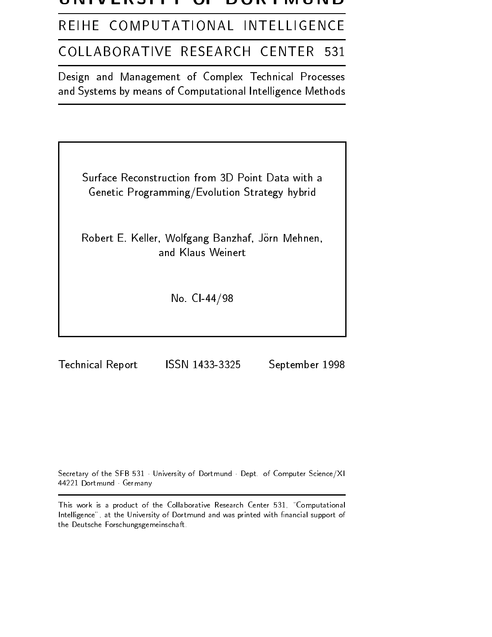### VLIVJI I

REIHE COMPUTATIONAL INTELLIGENCE

#### COLLABORATIVE RESEARCH CENTER 531

Design and Management of Complex Technical Processes and Systems by means of Computational Intelligence Methods

Surface Reconstruction from 3D Point Data with aGenetic Programming/Evolution Strategy hybrid

Robert E. Keller, Wolfgang Banzhaf, Jörn Mehnen, and Klaus Weinert

No. CI-44/98

Technical Report

ISSN 1433-3325 September 1998

Secretary of the SFB 531 University of Dortmund Dept. of Computer Science/XI 44221 Dortmund Germany

This work is a product of the Collaborative Research Center 531, "Computational Intelligence", at the University of Dortmund and was printed with financial support of the Deutsche Forschungsgemeinschaft.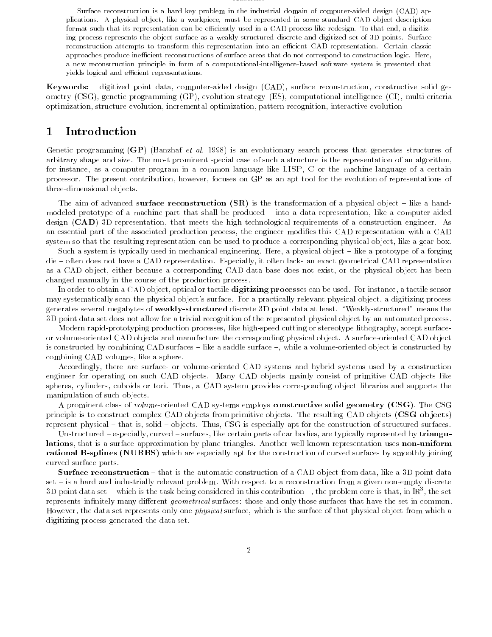#### Abstract

Surface reconstruction is a hard key problem in the industrial domain of computer-aided design (CAD) applications. A physical object, like a workpiece, must be represented in some standard CAD object description format such that its representation can be efficiently used in a CAD process like redesign. To that end, a digitizing process represents the object surface as a weakly-structured discrete and digitized set of 3D points. Surface reconstruction attempts to transform this representation into an efficient CAD representation. Certain classic approaches produce inefficient reconstructions of surface areas that do not correspond to construction logic. Here, a new reconstruction principle in form of a computational-intelligence-based software system is presented that yields logical and efficient representations.

Keywords: digitized point data, computer-aided design (CAD), surface reconstruction, constructive solid geometry (CSG), genetic programming (GP), evolution strategy (ES), computational intelligence (CI), multi-criteria optimization, structure evolution, incremental optimization, pattern recognition, interactive evolution

# 1 Introduction

Genetic programming (GP) (Banzhaf et al. 1998) is an evolutionary search process that generates structures of arbitrary shape and size. The most prominent special case of such a structure is the representation of an algorithm, for instance, as a computer program in a common language like LISP, <sup>C</sup> or the machine language of a certain processor. The present contribution, however, focuses on GP as an apt tool for the evolution of representations of three-dimensional objects.

The aim of advanced surface reconstruction  $(SR)$  is the transformation of a physical object – like a handmodeled prototype of a machine part that shall be produced – into a data representation, like a computer-aided design (CAD) 3D representation, that meets the high technological requirements of a construction engineer. As an essential part of the associated production process, the engineer modifies this CAD representation with a CAD system so that the resulting representation can be used to produce a corresponding physical object, like a gear box.

Such a system is typically used in mechanical engineering. Here, a physical object - like a prototype of a forging die – often does not have a CAD representation. Especially, it often lacks an exact geometrical CAD representation as a CAD object, either because a corresponding CAD data base does not exist, or the physical object has been changed manually in the course of the production process.

In order to obtain a CAD object, optical or tactile digitizing processes can be used. For instance, a tactile sensor may systematically scan the physical object's surface. For a practically relevant physical object, a digitizing process generates several megabytes of weakly-structured discrete 3D point data at least. \Weakly-structured" means the 3D point data set does not allow for a trivial recognition of the represented physical object by an automated process.

Modern rapid-prototyping production processes, like high-speed cutting or stereotype lithography, accept surfaceor volume-oriented CAD objects and manufacture the corresponding physical object. A surface-oriented CAD object is constructed by combining CAD surfaces  $-$  like a saddle surface  $-$ , while a volume-oriented object is constructed by combining CAD volumes, like a sphere.

Accordingly, there are surface- or volume-oriented CAD systems and hybrid systems used by a construction engineer for operating on such CAD objects. Many CAD objects mainly consist of primitive CAD objects like spheres, cylinders, cuboids or tori. Thus, a CAD system provides corresponding object libraries and supports the manipulation of such objects.

A prominent class of volume-oriented CAD systems employs constructive solid geometry (CSG). The CSG principle is to construct complex CAD objects from primitive objects. The resulting CAD objects (CSG objects) represent physical – that is, solid – objects. Thus, CSG is especially apt for the construction of structured surfaces.

Unstructured - especially, curved - surfaces, like certain parts of car bodies, are typically represented by triangulations, that is a surface approximation by plane triangles. Another well-known representation uses non-uniform rational B-splines (NURBS) which are especially apt for the construction of curved surfaces by smoothly joining curved surface parts.

Surface reconstruction - that is the automatic construction of a CAD object from data, like a 3D point data set - is a hard and industrially relevant problem. With respect to a reconstruction from a given non-empty discrete 3D point data set — which is the task being considered in this contribution —, the problem core is that, in  $\rm I\!R^-$ , the set represents infinitely many different *geometrical* surfaces: those and only those surfaces that have the set in common. However, the data set represents only one *physical* surface, which is the surface of that physical object from which a digitizing process generated the data set.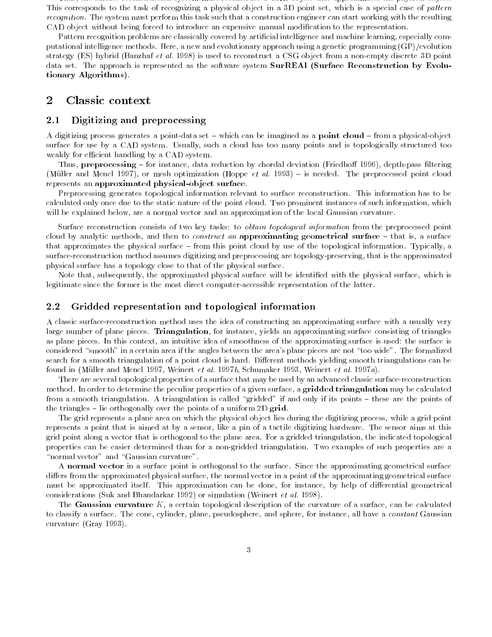Thus, the surface reconstruction system must reconstruct a CAD object that approximates the physical object. This corresponds to the task of recognizing a physical object in a 3D point set, which is a special case of pattern recognition. The system must perform this task such that a construction engineer can start working with the resulting CAD object without being forced to introduce an expensive manual modication to the representation.

Pattern recognition problems are classically covered by articial intelligence and machine learning, especially computational intelligence methods. Here, a new and evolutionary approach using a genetic programming (GP)/evolution strategy (ES) hybrid (Banzhaf et al. 1998) is used to reconstruct a CSG object from a non-empty discrete 3D point data set. The approach is represented as the software system SurREAl (Surface Reconstruction by Evolutionary Algorithms).

# 2 Classic context

## 2.1 Digitizing and preprocessing

A digitizing process generates a point-data set  $-$  which can be imagined as a **point cloud**  $-$  from a physical-object surface for use by a CAD system. Usually, such a cloud has too many points and is topologically structured too weakly for efficient handling by a CAD system.

Thus, preprocessing – for instance, data reduction by chordal deviation (Friedhoff 1996), depth-pass filtering (Müller and Mencl 1997), or mesh optimization (Hoppe *et al.* 1993) – is needed. The preprocessed point cloud represents an approximated physical-object surface.

Preprocessing generates topological information relevant to surface reconstruction. This information has to be calculated only once due to the static nature of the point cloud. Two prominent instances of such information, which will be explained below, are a normal vector and an approximation of the local Gaussian curvature.

Surface reconstruction consists of two key tasks: to *obtain topological information* from the preprocessed point cloud by analytic methods, and then to *construct an* approximating geometrical surface  $-$  that is, a surface that approximates the physical surface – from this point cloud by use of the topological information. Typically, a surface-reconstruction method assumes digitizing and preprocessing are topology-preserving, that is the approximated physical surface has a topology close to that of the physical surface.

Note that, subsequently, the approximated physical surface will be identified with the physical surface, which is legitimate since the former is the most direct computer-accessible representation of the latter.

### 2.2 Gridded representation and topological information

A classic surface-reconstruction method uses the idea of constructing an approximating surface with a usually very large number of plane pieces. Triangulation, for instance, yields an approximating surface consisting of triangles as plane pieces. In this context, an intuitive idea of smoothness of the approximating surface is used: the surface is considered "smooth" in a certain area if the angles between the area's plane pieces are not "too wide". The formalized search for a smooth triangulation of a point cloud is hard. Different methods yielding smooth triangulations can be found in (Müller and Mencl 1997, Weinert et al. 1997b, Schumaker 1993, Weinert et al. 1997a).

There are several topological properties of a surface that may be used by an advanced classic surface-reconstruction method. In order to determine the peculiar properties of a given surface, a gridded triangulation may be calculated from a smooth triangulation. A triangulation is called "gridded" if and only if its points - these are the points of the triangles  $-$  lie orthogonally over the points of a uniform 2D grid.

The grid represents a plane area on which the physical object lies during the digitizing process, while a grid point represents a point that is aimed at by a sensor, like a pin of a tactile digitizing hardware. The sensor aims at this grid point along a vector that is orthogonal to the plane area. For a gridded triangulation, the indicated topological properties can be easier determined than for a non-gridded triangulation. Two examples of such properties are a "normal vector" and "Gaussian curvature".

A normal vector in a surface point is orthogonal to the surface. Since the approximating geometrical surface differs from the approximated physical surface, the normal vector in a point of the approximating geometrical surface must be approximated itself. This approximation can be done, for instance, by help of differential geometrical considerations (Suk and Bhandarkar 1992) or simulation (Weinert et al. 1998).

The Gaussian curvature  $K$ , a certain topological description of the curvature of a surface, can be calculated to classify a surface. The cone, cylinder, plane, pseudosphere, and sphere, for instance, all have a *constant* Gaussian curvature (Gray 1993).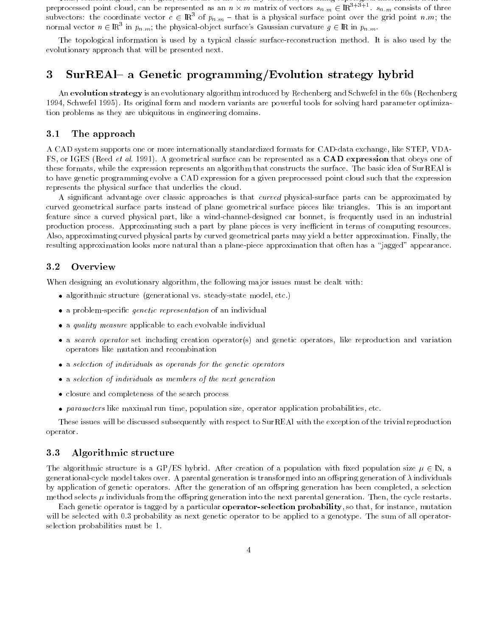Thus, considering an n - m grid, the result of the rst key task, i.e., obtaining topological information from the preprocessed point cloud, can be represented as an  $n \times m$  matrix of vectors  $s_{n,m} \in \rm I\!R^{++}{}^{++}$  s $_{n,m}$  consists of three subvectors: the coordinate vector  $c \in \mathbb{R}^3$  of  $p_{n,m}$  - that is a physical surface point over the grid point n.m; the normal vector  $n \in \mathbb{R}^3$  in  $p_{n,m}$ ; the physical-object surface's Gaussian curvature  $g \in \mathbb{R}$  in  $p_{n,m}$ .

The topological information is used by a typical classic surface-reconstruction method. It is also used by the evolutionary approach that will be presented next.

# 3 SurREAl– a Genetic programming/Evolution strategy hybrid

An evolution strategy is an evolutionary algorithm introduced by Rechenberg and Schwefel in the 60s (Rechenberg 1994, Schwefel 1995). Its original form and modern variants are powerful tools for solving hard parameter optimization problems as they are ubiquitous in engineering domains.

#### 3.1 The approach

A CAD system supports one or more internationally standardized formats for CAD-data exchange, like STEP, VDA-FS, or IGES (Reed *et al.* 1991). A geometrical surface can be represented as a CAD expression that obeys one of these formats, while the expression represents an algorithm that constructs the surface. The basic idea of SurREAl is to have genetic programming evolve a CAD expression for a given preprocessed point cloud such that the expression represents the physical surface that underlies the cloud.

A signicant advantage over classic approaches is that curved physical-surface parts can be approximated by curved geometrical surface parts instead of plane geometrical surface pieces like triangles. This is an important feature since a curved physical part, like a wind-channel-designed car bonnet, is frequently used in an industrial production process. Approximating such a part by plane pieces is very inefficient in terms of computing resources. Also, approximating curved physical parts by curved geometrical parts may yield a better approximation. Finally, the resulting approximation looks more natural than a plane-piece approximation that often has a "jagged" appearance.

#### $3.2$ Overview

When designing an evolutionary algorithm, the following major issues must be dealt with:

- algorithmic structure (generational vs. steady-state model, etc.)
- a problem-specific *genetic representation* of an individual
- $\bullet$  a quality measure applicable to each evolvable individual
- a search operator set including creation operator(s) and genetic operators, like reproduction and variation operators like mutation and recombination
- a selection of individuals as operands for the genetic operators
- a selection of individuals as members of the next generation
- closure and completeness of the search process
- $\bullet$  parameters like maximal run time, population size, operator application probabilities, etc.

These issues will be discussed subsequently with respect to SurREAl with the exception of the trivial reproduction operator.

### 3.3 Algorithmic structure

The algorithmic structure is a GP/ES hybrid. After creation of a population with fixed population size  $\mu \in \mathbb{N}$ , a generational-cycle model takes over. A parental generation is transformed into an offspring generation of  $\lambda$  individuals by application of genetic operators. After the generation of an offspring generation has been completed, a selection method selects  $\mu$  individuals from the offspring generation into the next parental generation. Then, the cycle restarts.

Each genetic operator is tagged by a particular operator-selection probability, so that, for instance, mutation will be selected with 0.3 probability as next genetic operator to be applied to a genotype. The sum of all operatorselection probabilities must be 1.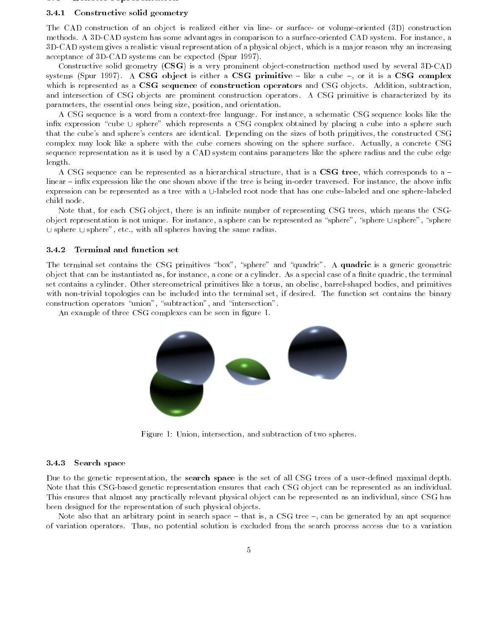#### 3.4 Genetic representation

## 3.4.1 Constructive solid geometry

The CAD construction of an object is realized either via line- or surface- or volume-oriented (3D) construction methods. A 3D-CAD system has some advantages in comparison to a surface-oriented CAD system. For instance, a 3D-CAD system gives a realistic visual representation of a physical object, which is a major reason why an increasing acceptance of 3D-CAD systems can be expected (Spur 1997).

Constructive solid geometry (CSG) is a very prominent object-construction method used by several 3D-CAD systems (Spur 1997). A CSG object is either a CSG primitive  $-$  like a cube  $-$ , or it is a CSG complex which is represented as a CSG sequence of construction operators and CSG objects. Addition, subtraction, and intersection of CSG objects are prominent construction operators. A CSG primitive is characterized by its parameters, the essential ones being size, position, and orientation.

A CSG sequence is a word from a context-free language. For instance, a schematic CSG sequence looks like the infix expression "cube  $\cup$  sphere" which represents a CSG complex obtained by placing a cube into a sphere such that the cube's and sphere's centers are identical. Depending on the sizes of both primitives, the constructed CSG complex may look like a sphere with the cube corners showing on the sphere surface. Actually, a concrete CSG sequence representation as it is used by a CAD system contains parameters like the sphere radius and the cube edge length.

A CSG sequence can be represented as a hierarchical structure, that is a CSG tree, which corresponds to a  $$ linear – infix expression like the one shown above if the tree is being in-order traversed. For instance, the above infix expression can be represented as a tree with a U-labeled root node that has one cube-labeled and one sphere-labeled child node.

Note that, for each CSG object, there is an infinite number of representing CSG trees, which means the CSGobject representation is not unique. For instance, a sphere can be represented as "sphere", "sphere  $\cup$  sphere", "sphere  $\cup$  sphere  $\cup$  sphere", etc., with all spheres having the same radius.

# 3.4.2 Terminal and function set

The terminal set contains the CSG primitives "box", "sphere" and "quadric". A quadric is a generic geometric object that can be instantiated as, for instance, a cone or a cylinder. As a special case of a finite quadric, the terminal set contains a cylinder. Other stereometrical primitives like a torus, an obelisc, barrel-shaped bodies, and primitives with non-trivial topologies can be included into the terminal set, if desired. The function set contains the binary construction operators "union", "subtraction", and "intersection".

An example of three CSG complexes can be seen in figure 1.



Figure 1: Union, intersection, and subtraction of two spheres.

## 3.4.3 Search space

Due to the genetic representation, the search space is the set of all CSG trees of a user-defined maximal depth. Note that this CSG-based genetic representation ensures that each CSG object can be represented as an individual. This ensures that almost any practically relevant physical object can be represented as an individual, since CSG has been designed for the representation of such physical objects.

Note also that an arbitrary point in search space  $-$  that is, a CSG tree  $-$ , can be generated by an apt sequence of variation operators. Thus, no potential solution is excluded from the search process access due to a variation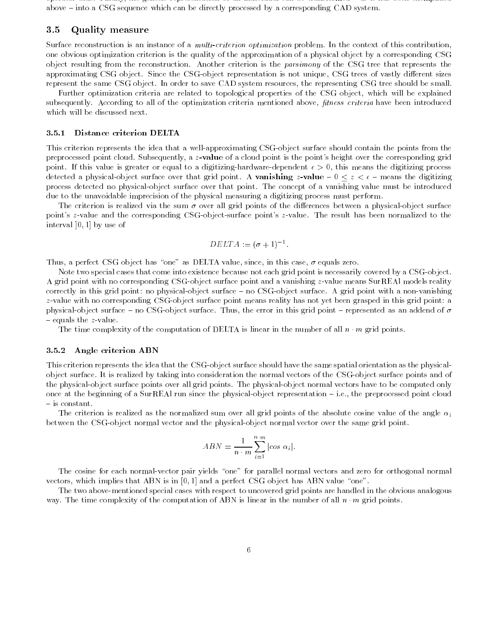operator bias. Finally, the genetic representation of an individual can be transformed as it has been exemplied above – into a CSG sequence which can be directly processed by a corresponding CAD system.

#### Quality measure  $3.5$

Surface reconstruction is an instance of a multi-criterion optimization problem. In the context of this contribution, one obvious optimization criterion is the quality of the approximation of a physical object by a corresponding CSG object resulting from the reconstruction. Another criterion is the parsimony of the CSG tree that represents the approximating CSG object. Since the CSG-object representation is not unique, CSG trees of vastly different sizes represent the same CSG object. In order to save CAD system resources, the representing CSG tree should be small.

Further optimization criteria are related to topological properties of the CSG object, which will be explained subsequently. According to all of the optimization criteria mentioned above, *fitness criteria* have been introduced which will be discussed next.

#### 3.5.1 Distance criterion DELTA

This criterion represents the idea that a well-approximating CSG-object surface should contain the points from the preprocessed point cloud. Subsequently, a z-value of a cloud point is the point's height over the corresponding grid point. If this value is greater or equal to a digitizing-hardware-dependent  $\epsilon > 0$ , this means the digitizing process detected a physical-object surface over that grid point. A vanishing z-value  $-0 \le z \le \epsilon$  - means the digitizing process detected no physical-object surface over that point. The concept of a vanishing value must be introduced due to the unavoidable imprecision of the physical measuring a digitizing process must perform.

The criterion is realized via the sum  $\sigma$  over all grid points of the differences between a physical-object surface point's z-value and the corresponding CSG-object-surface point's z-value. The result has been normalized to the interval ]0; 1] by use of

$$
DELTA := (\sigma + 1)^{-1}.
$$

Thus, a perfect CSG object has "one" as DELTA value, since, in this case,  $\sigma$  equals zero.

Note two special cases that come into existence because not each grid point is necessarily covered by a CSG-object. A grid point with no corresponding CSG-object surface point and a vanishing z-value means SurREAl models reality correctly in this grid point: no physical-object surface - no CSG-object surface. A grid point with a non-vanishing z-value with no corresponding CSG-object surface point means reality has not yet been grasped in this grid point: a physical-object surface  $-$  no CSG-object surface. Thus, the error in this grid point  $-$  represented as an addend of  $\sigma$  $=$  equals the *z*-value.

The time complexity of the computation of DELTA is linear in the number of all  $n \cdot m$  grid points.

#### 3.5.2 Angle criterion ABN

This criterion represents the idea that the CSG-object surface should have the same spatial orientation as the physicalobject surface. It is realized by taking into consideration the normal vectors of the CSG-object surface points and of the physical-object surface points over all grid points. The physical-object normal vectors have to be computed only once at the beginning of a SurREAl run since the physical-object representation  $-$  i.e., the preprocessed point cloud { is constant.

The criterion is realized as the normalized sum over all grid points of the absolute cosine value of the angle  $\alpha_i$ between the CSG-object normal vector and the physical-object normal vector over the same grid point.

$$
ABN = \frac{1}{n \cdot m} \sum_{i=1}^{n \cdot m} |cos \ \alpha_i|.
$$

The cosine for each normal-vector pair yields "one" for parallel normal vectors and zero for orthogonal normal vectors, which implies that ABN is in  $[0, 1]$  and a perfect CSG object has ABN value "one".

The two above-mentioned special cases with respect to uncovered grid points are handled in the obvious analogous way. The time complexity of the computation of ABN is linear in the number of all  $n \cdot m$  grid points.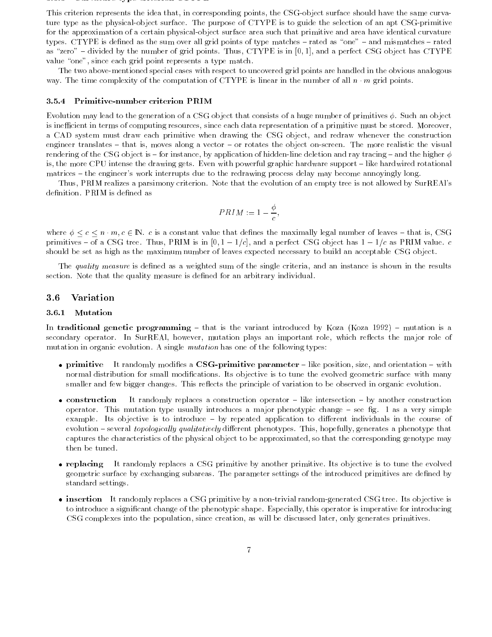#### 3.5.3 Curvature type criterion CTYPE

This criterion represents the idea that, in corresponding points, the CSG-object surface should have the same curvature type as the physical-object surface. The purpose of CTYPE is to guide the selection of an apt CSG-primitive for the approximation of a certain physical-object surface area such that primitive and area have identical curvature types. CTYPE is defined as the sum over all grid points of type matches - rated as "one" - and mismatches - rated as "zero" - divided by the number of grid points. Thus, CTYPE is in [0, 1], and a perfect CSG object has CTYPE value "one", since each grid point represents a type match.

The two above-mentioned special cases with respect to uncovered grid points are handled in the obvious analogous way. The time complexity of the computation of CTYPE is linear in the number of all  $n \cdot m$  grid points.

#### 3.5.4 Primitive-number criterion PRIM

Evolution may lead to the generation of a CSG object that consists of a huge number of primitives  $\phi$ . Such an object is inefficient in terms of computing resources, since each data representation of a primitive must be stored. Moreover, a CAD system must draw each primitive when drawing the CSG object, and redraw whenever the construction engineer translates - that is, moves along a vector - or rotates the object on-screen. The more realistic the visual rendering of the CSG object is - for instance, by application of hidden-line deletion and ray tracing - and the higher  $\phi$ is, the more CPU intense the drawing gets. Even with powerful graphic hardware support – like hardwired rotational matrices – the engineer's work interrupts due to the redrawing process delay may become annoyingly long.

Thus, PRIM realizes a parsimony criterion. Note that the evolution of an empty tree is not allowed by SurREAl's definition. PRIM is defined as

$$
PRIM := 1 - \frac{\phi}{c},
$$

where  $\phi \leq c \leq n \cdot m$ ,  $c \in \mathbb{N}$ . c is a constant value that defines the maximally legal number of leaves - that is, CSG primitives – of a CSG tree. Thus, PRIM is in  $[0, 1 - 1/c]$ , and a perfect CSG object has  $1 - 1/c$  as PRIM value. c should be set as high as the maximum number of leaves expected necessary to build an acceptable CSG object.

The quality measure is defined as a weighted sum of the single criteria, and an instance is shown in the results section. Note that the quality measure is defined for an arbitrary individual.

# 3.6 Variation

#### 3.6.1 Mutation

In traditional genetic programming  $-$  that is the variant introduced by Koza (Koza 1992)  $-$  mutation is a secondary operator. In SurREAl, however, mutation plays an important role, which reflects the major role of mutation in organic evolution. A single *mutation* has one of the following types:

- primitive It randomly modifies a CSG-primitive parameter  $-$  like position, size, and orientation  $-$  with normal distribution for small modifications. Its objective is to tune the evolved geometric surface with many smaller and few bigger changes. This reflects the principle of variation to be observed in organic evolution.
- construction It randomly replaces a construction operator like intersection by another construction operator. This mutation type usually introduces a major phenotypic change  $-$  see fig. 1 as a very simple example. Its objective is to introduce - by repeated application to different individuals in the course of evolution - several topologically qualitatively different phenotypes. This, hopefully, generates a phenotype that captures the characteristics of the physical object to be approximated, so that the corresponding genotype may then be tuned.
- replacing It randomly replaces a CSG primitive by another primitive. Its objective is to tune the evolved geometric surface by exchanging subareas. The parameter settings of the introduced primitives are dened by standard settings.
- insertion It randomly replaces a CSG primitive by a non-trivial random-generated CSG tree. Its objective is to introduce a signicant change of the phenotypic shape. Especially, this operator is imperative for introducing CSG complexes into the population, since creation, as will be discussed later, only generates primitives.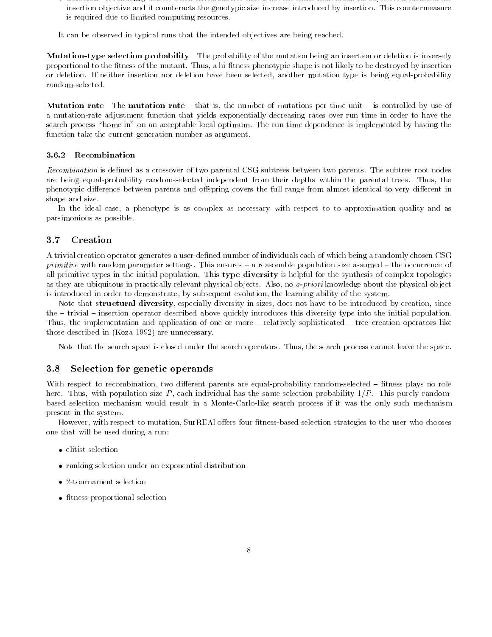deletion It randomly deletes a non trivial subtree that is not the entire individual. Its objective is identical the insertion objective and it counteracts the genotypic size increase introduced by insertion. This countermeasure is required due to limited computing resources.

It can be observed in typical runs that the intended objectives are being reached.

Mutation-type selection probability The probability of the mutation being an insertion or deletion is inversely proportional to the fitness of the mutant. Thus, a hi-fitness phenotypic shape is not likely to be destroyed by insertion or deletion. If neither insertion nor deletion have been selected, another mutation type is being equal-probability random-selected.

Mutation rate The mutation rate  $-$  that is, the number of mutations per time unit  $-$  is controlled by use of a mutation-rate adjustment function that yields exponentially decreasing rates over run time in order to have the search process "home in" on an acceptable local optimum. The run-time dependence is implemented by having the function take the current generation number as argument.

#### 3.6.2 Recombination

Recombination is defined as a crossover of two parental CSG subtrees between two parents. The subtree root nodes are being equal-probability random-selected independent from their depths within the parental trees. Thus, the phenotypic difference between parents and offspring covers the full range from almost identical to very different in shape and size.

In the ideal case, a phenotype is as complex as necessary with respect to to approximation quality and as parsimonious as possible.

## 3.7 Creation

A trivial creation operator generates a user-defined number of individuals each of which being a randomly chosen CSG *primitive* with random parameter settings. This ensures  $-$  a reasonable population size assumed  $-$  the occurrence of all primitive types in the initial population. This type diversity is helpful for the synthesis of complex topologies as they are ubiquitous in practically relevant physical objects. Also, no a-priori knowledge about the physical object is introduced in order to demonstrate, by subsequent evolution, the learning ability of the system.

Note that structural diversity, especially diversity in sizes, does not have to be introduced by creation, since the - trivial - insertion operator described above quickly introduces this diversity type into the initial population. Thus, the implementation and application of one or more  $-$  relatively sophisticated  $-$  tree creation operators like those described in (Koza 1992) are unnecessary.

Note that the search space is closed under the search operators. Thus, the search process cannot leave the space.

#### 3.8 Selection for genetic operands

With respect to recombination, two different parents are equal-probability random-selected – fitness plays no role here. Thus, with population size P, each individual has the same selection probability  $1/P$ . This purely randombased selection mechanism would result in a Monte-Carlo-like search process if it was the only such mechanism present in the system.

However, with respect to mutation, SurREAI offers four fitness-based selection strategies to the user who chooses one that will be used during a run:

- elitist selection
- ranking selection under an exponential distribution
- 2-tournament selection
- $\bullet$  fitness-proportional selection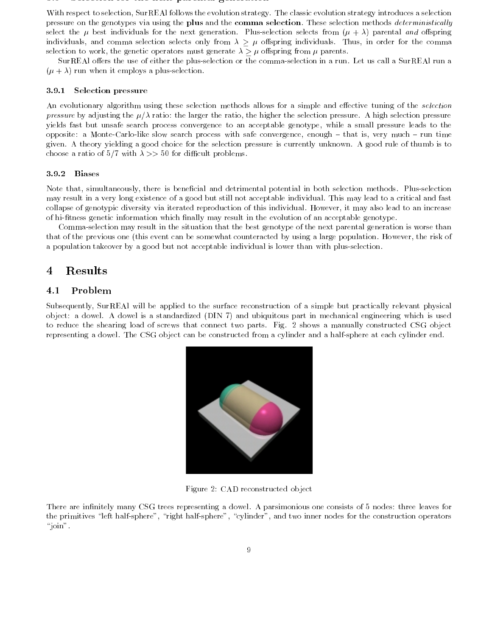#### 3.9 September 1991 Selection for the next part of  $\frac{1}{2}$

With respect to selection, SurREAl follows the evolution strategy. The classic evolution strategy introduces a selection pressure on the genotypes via using the plus and the comma selection. These selection methods *deterministically* select the  $\mu$  best individuals for the next generation. Plus-selection selects from  $(\mu + \lambda)$  parental and offspring individuals, and comma selection selects only from  $\lambda \geq \mu$  offspring individuals. Thus, in order for the comma selection to work, the genetic operators must generate  $\lambda \geq \mu$  offspring from  $\mu$  parents.

SurREAl offers the use of either the plus-selection or the comma-selection in a run. Let us call a SurREAl run a  $(\mu + \lambda)$  run when it employs a plus-selection.

### 3.9.1 Selection pressure

An evolutionary algorithm using these selection methods allows for a simple and effective tuning of the selection pressure by adjusting the  $\mu/\lambda$  ratio: the larger the ratio, the higher the selection pressure. A high selection pressure yields fast but unsafe search process convergence to an acceptable genotype, while a small pressure leads to the opposite: a Monte-Carlo-like slow search process with safe convergence, enough  $-$  that is, very much  $-$  run time given. A theory yielding a good choice for the selection pressure is currently unknown. A good rule of thumb is to choose a ratio of 5/7 with  $\lambda >> 50$  for difficult problems.

## 3.9.2 Biases

Note that, simultaneously, there is beneficial and detrimental potential in both selection methods. Plus-selection may result in a very long existence of a good but still not acceptable individual. This may lead to a critical and fast collapse of genotypic diversity via iterated reproduction of this individual. However, it may also lead to an increase of hi-tness genetic information which nally may result in the evolution of an acceptable genotype.

Comma-selection may result in the situation that the best genotype of the next parental generation is worse than that of the previous one (this event can be somewhat counteracted by using a large population. However, the risk of a population takeover by a good but not acceptable individual is lower than with plus-selection.

#### **Results** 4

# 4.1 Problem

Subsequently, SurREAl will be applied to the surface reconstruction of a simple but practically relevant physical object: a dowel. A dowel is a standardized (DIN 7) and ubiquitous part in mechanical engineering which is used to reduce the shearing load of screws that connect two parts. Fig. 2 shows a manually constructed CSG object representing a dowel. The CSG object can be constructed from a cylinder and a half-sphere at each cylinder end.



Figure 2: CAD reconstructed object

There are infinitely many CSG trees representing a dowel. A parsimonious one consists of 5 nodes: three leaves for the primitives "left half-sphere", "right half-sphere", "cylinder", and two inner nodes for the construction operators " $\overline{\text{join}}$ ".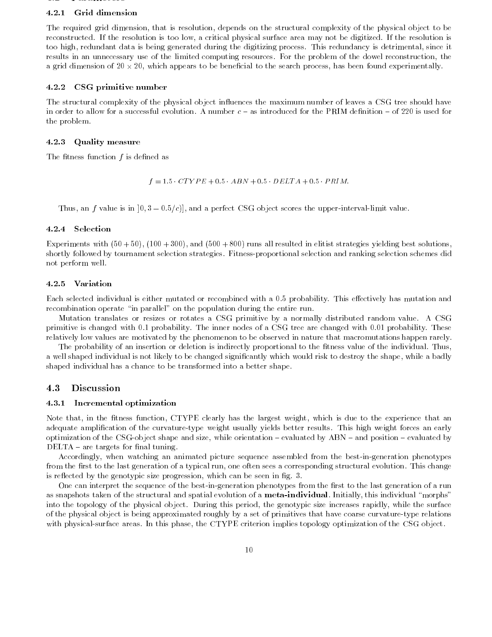#### 4.2.1 Grid dimension

The required grid dimension, that is resolution, depends on the structural complexity of the physical object to be reconstructed. If the resolution is too low, a critical physical surface area may not be digitized. If the resolution is too high, redundant data is being generated during the digitizing process. This redundancy is detrimental, since it results in an unnecessary use of the limited computing resources. For the problem of the dowel reconstruction, the a grid dimension of 20 - 20, which appears to be benefits to the search process, has been found experimentally

#### 4.2.2 CSG primitive number

The structural complexity of the physical object influences the maximum number of leaves a CSG tree should have in order to allow for a successful evolution. A number  $c -$  as introduced for the PRIM definition  $-$  of 220 is used for the problem.

### 4.2.3 Quality measure

The fitness function  $f$  is defined as

 $f = 1.5 \cdot CTYPE + 0.5 \cdot ABN + 0.5 \cdot DELTA + 0.5 \cdot PRIM$ .

Thus, an f value is in  $[0, 3 - 0.5/c]$ , and a perfect CSG object scores the upper-interval-limit value.

#### 4.2.4 Selection

Experiments with  $(50 + 50)$ ,  $(100 + 300)$ , and  $(500 + 800)$  runs all resulted in elitist strategies yielding best solutions, shortly followed by tournament selection strategies. Fitness-proportional selection and ranking selection schemes did not perform well.

#### 4.2.5 Variation

Each selected individual is either mutated or recombined with a 0.5 probability. This effectively has mutation and recombination operate "in parallel" on the population during the entire run.

Mutation translates or resizes or rotates a CSG primitive by a normally distributed random value. A CSG primitive is changed with 0.1 probability. The inner nodes of a CSG tree are changed with 0.01 probability. These relatively low values are motivated by the phenomenon to be observed in nature that macromutations happen rarely.

The probability of an insertion or deletion is indirectly proportional to the fitness value of the individual. Thus, a well shaped individual is not likely to be changed significantly which would risk to destroy the shape, while a badly shaped individual has a chance to be transformed into a better shape.

### 4.3 Discussion

#### 4.3.1 Incremental optimization

Note that, in the fitness function, CTYPE clearly has the largest weight, which is due to the experience that an adequate amplication of the curvature-type weight usually yields better results. This high weight forces an early optimization of the CSG-object shape and size, while orientation - evaluated by ABN - and position - evaluated by  $DELTA$  – are targets for final tuning.

Accordingly, when watching an animated picture sequence assembled from the best-in-generation phenotypes from the first to the last generation of a typical run, one often sees a corresponding structural evolution. This change is reflected by the genotypic size progression, which can be seen in fig. 3.

One can interpret the sequence of the best-in-generation phenotypes from the first to the last generation of a run as snapshots taken of the structural and spatial evolution of a meta-individual. Initially, this individual "morphs" into the topology of the physical object. During this period, the genotypic size increases rapidly, while the surface of the physical object is being approximated roughly by a set of primitives that have coarse curvature-type relations with physical-surface areas. In this phase, the CTYPE criterion implies topology optimization of the CSG object.